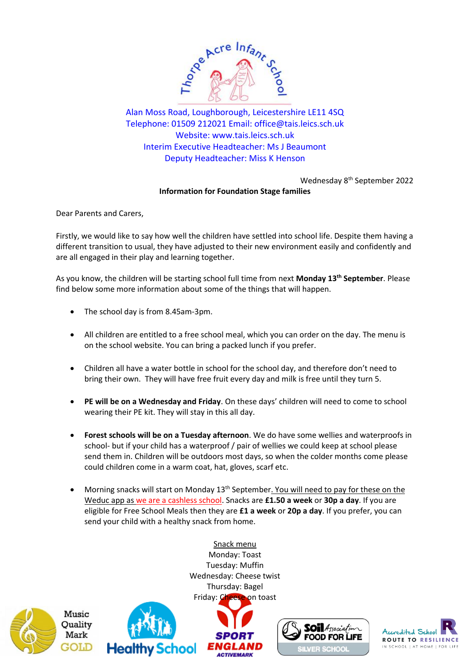

Alan Moss Road, Loughborough, Leicestershire LE11 4SQ Telephone: 01509 212021 Email: [office@tais.leics.sch.uk](mailto:office@tais.leics.sch.uk) Website: www.tais.leics.sch.uk Interim Executive Headteacher: Ms J Beaumont Deputy Headteacher: Miss K Henson

> Wednesday 8th September 2022 **Information for Foundation Stage families**

Dear Parents and Carers,

Firstly, we would like to say how well the children have settled into school life. Despite them having a different transition to usual, they have adjusted to their new environment easily and confidently and are all engaged in their play and learning together.

As you know, the children will be starting school full time from next **Monday 13th September**. Please find below some more information about some of the things that will happen.

- The school day is from 8.45am-3pm.
- All children are entitled to a free school meal, which you can order on the day. The menu is on the school website. You can bring a packed lunch if you prefer.
- Children all have a water bottle in school for the school day, and therefore don't need to bring their own. They will have free fruit every day and milk is free until they turn 5.
- **PE will be on a Wednesday and Friday**. On these days' children will need to come to school wearing their PE kit. They will stay in this all day.
- **Forest schools will be on a Tuesday afternoon**. We do have some wellies and waterproofs in school- but if your child has a waterproof / pair of wellies we could keep at school please send them in. Children will be outdoors most days, so when the colder months come please could children come in a warm coat, hat, gloves, scarf etc.
- Morning snacks will start on Monday 13<sup>th</sup> September. You will need to pay for these on the Weduc app as we are a cashless school. Snacks are **£1.50 a week** or **30p a day**. If you are eligible for Free School Meals then they are **£1 a week** or **20p a day**. If you prefer, you can send your child with a healthy snack from home.





Snack menu Monday: Toast Tuesday: Muffin Wednesday: Cheese twist Thursday: Bagel Fri[day: Cheese on to](http://www.sportengland.org/)ast